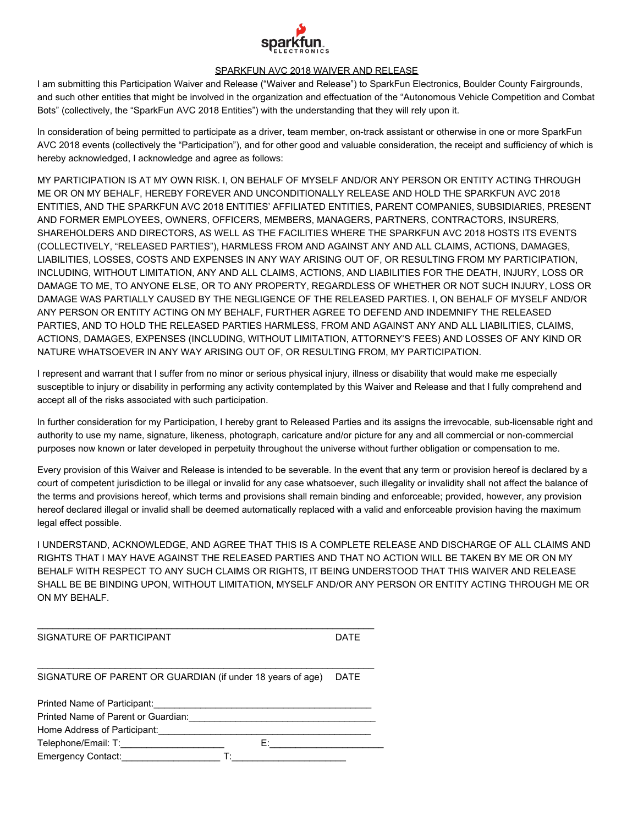

## SPARKFUN AVC 2018 WAIVER AND RELEASE

I am submitting this Participation Waiver and Release ("Waiver and Release") to SparkFun Electronics, Boulder County Fairgrounds, and such other entities that might be involved in the organization and effectuation of the "Autonomous Vehicle Competition and Combat Bots" (collectively, the "SparkFun AVC 2018 Entities") with the understanding that they will rely upon it.

In consideration of being permitted to participate as a driver, team member, on-track assistant or otherwise in one or more SparkFun AVC 2018 events (collectively the "Participation"), and for other good and valuable consideration, the receipt and sufficiency of which is hereby acknowledged, I acknowledge and agree as follows:

MY PARTICIPATION IS AT MY OWN RISK. I, ON BEHALF OF MYSELF AND/OR ANY PERSON OR ENTITY ACTING THROUGH ME OR ON MY BEHALF, HEREBY FOREVER AND UNCONDITIONALLY RELEASE AND HOLD THE SPARKFUN AVC 2018 ENTITIES, AND THE SPARKFUN AVC 2018 ENTITIES' AFFILIATED ENTITIES, PARENT COMPANIES, SUBSIDIARIES, PRESENT AND FORMER EMPLOYEES, OWNERS, OFFICERS, MEMBERS, MANAGERS, PARTNERS, CONTRACTORS, INSURERS, SHAREHOLDERS AND DIRECTORS, AS WELL AS THE FACILITIES WHERE THE SPARKFUN AVC 2018 HOSTS ITS EVENTS (COLLECTIVELY, "RELEASED PARTIES"), HARMLESS FROM AND AGAINST ANY AND ALL CLAIMS, ACTIONS, DAMAGES, LIABILITIES, LOSSES, COSTS AND EXPENSES IN ANY WAY ARISING OUT OF, OR RESULTING FROM MY PARTICIPATION, INCLUDING, WITHOUT LIMITATION, ANY AND ALL CLAIMS, ACTIONS, AND LIABILITIES FOR THE DEATH, INJURY, LOSS OR DAMAGE TO ME, TO ANYONE ELSE, OR TO ANY PROPERTY, REGARDLESS OF WHETHER OR NOT SUCH INJURY, LOSS OR DAMAGE WAS PARTIALLY CAUSED BY THE NEGLIGENCE OF THE RELEASED PARTIES. I, ON BEHALF OF MYSELF AND/OR ANY PERSON OR ENTITY ACTING ON MY BEHALF, FURTHER AGREE TO DEFEND AND INDEMNIFY THE RELEASED PARTIES, AND TO HOLD THE RELEASED PARTIES HARMLESS, FROM AND AGAINST ANY AND ALL LIABILITIES, CLAIMS, ACTIONS, DAMAGES, EXPENSES (INCLUDING, WITHOUT LIMITATION, ATTORNEY'S FEES) AND LOSSES OF ANY KIND OR NATURE WHATSOEVER IN ANY WAY ARISING OUT OF, OR RESULTING FROM, MY PARTICIPATION.

I represent and warrant that I suffer from no minor or serious physical injury, illness or disability that would make me especially susceptible to injury or disability in performing any activity contemplated by this Waiver and Release and that I fully comprehend and accept all of the risks associated with such participation.

In further consideration for my Participation, I hereby grant to Released Parties and its assigns the irrevocable, sub-licensable right and authority to use my name, signature, likeness, photograph, caricature and/or picture for any and all commercial or non-commercial purposes now known or later developed in perpetuity throughout the universe without further obligation or compensation to me.

Every provision of this Waiver and Release is intended to be severable. In the event that any term or provision hereof is declared by a court of competent jurisdiction to be illegal or invalid for any case whatsoever, such illegality or invalidity shall not affect the balance of the terms and provisions hereof, which terms and provisions shall remain binding and enforceable; provided, however, any provision hereof declared illegal or invalid shall be deemed automatically replaced with a valid and enforceable provision having the maximum legal effect possible.

I UNDERSTAND, ACKNOWLEDGE, AND AGREE THAT THIS IS A COMPLETE RELEASE AND DISCHARGE OF ALL CLAIMS AND RIGHTS THAT I MAY HAVE AGAINST THE RELEASED PARTIES AND THAT NO ACTION WILL BE TAKEN BY ME OR ON MY BEHALF WITH RESPECT TO ANY SUCH CLAIMS OR RIGHTS, IT BEING UNDERSTOOD THAT THIS WAIVER AND RELEASE SHALL BE BE BINDING UPON, WITHOUT LIMITATION, MYSELF AND/OR ANY PERSON OR ENTITY ACTING THROUGH ME OR ON MY BEHALF.

| SIGNATURE OF PARTICIPANT                                            |    | <b>DATE</b> |
|---------------------------------------------------------------------|----|-------------|
| SIGNATURE OF PARENT OR GUARDIAN (if under 18 years of age)          |    | <b>DATF</b> |
| Printed Name of Participant:<br>Printed Name of Parent or Guardian: |    |             |
| Home Address of Participant:                                        |    |             |
| Telephone/Email: T:<br><b>Emergency Contact:</b>                    | F۰ |             |